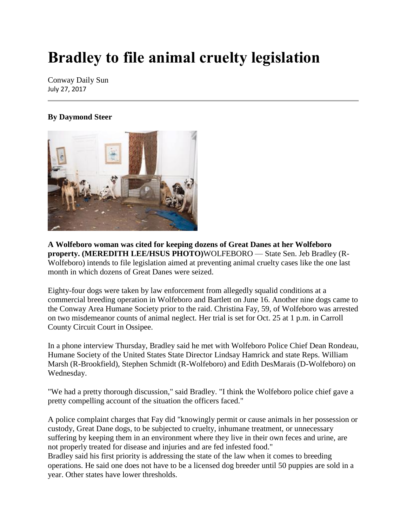## **Bradley to file animal cruelty legislation**

Conway Daily Sun July 27, 2017

## **By Daymond Steer**



**A Wolfeboro woman was cited for keeping dozens of Great Danes at her Wolfeboro property. (MEREDITH LEE/HSUS PHOTO)**WOLFEBORO — State Sen. Jeb Bradley (R-Wolfeboro) intends to file legislation aimed at preventing animal cruelty cases like the one last month in which dozens of Great Danes were seized.

Eighty-four dogs were taken by law enforcement from allegedly squalid conditions at a commercial breeding operation in Wolfeboro and Bartlett on June 16. Another nine dogs came to the Conway Area Humane Society prior to the raid. Christina Fay, 59, of Wolfeboro was arrested on two misdemeanor counts of animal neglect. Her trial is set for Oct. 25 at 1 p.m. in Carroll County Circuit Court in Ossipee.

In a phone interview Thursday, Bradley said he met with Wolfeboro Police Chief Dean Rondeau, Humane Society of the United States State Director Lindsay Hamrick and state Reps. William Marsh (R-Brookfield), Stephen Schmidt (R-Wolfeboro) and Edith DesMarais (D-Wolfeboro) on Wednesday.

"We had a pretty thorough discussion," said Bradley. "I think the Wolfeboro police chief gave a pretty compelling account of the situation the officers faced."

A police complaint charges that Fay did "knowingly permit or cause animals in her possession or custody, Great Dane dogs, to be subjected to cruelty, inhumane treatment, or unnecessary suffering by keeping them in an environment where they live in their own feces and urine, are not properly treated for disease and injuries and are fed infested food."

Bradley said his first priority is addressing the state of the law when it comes to breeding operations. He said one does not have to be a licensed dog breeder until 50 puppies are sold in a year. Other states have lower thresholds.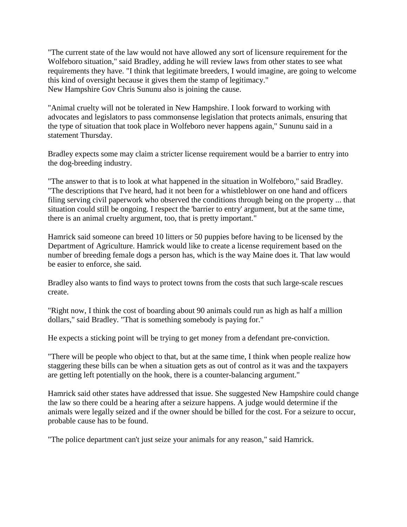"The current state of the law would not have allowed any sort of licensure requirement for the Wolfeboro situation," said Bradley, adding he will review laws from other states to see what requirements they have. "I think that legitimate breeders, I would imagine, are going to welcome this kind of oversight because it gives them the stamp of legitimacy." New Hampshire Gov Chris Sununu also is joining the cause.

"Animal cruelty will not be tolerated in New Hampshire. I look forward to working with advocates and legislators to pass commonsense legislation that protects animals, ensuring that the type of situation that took place in Wolfeboro never happens again," Sununu said in a statement Thursday.

Bradley expects some may claim a stricter license requirement would be a barrier to entry into the dog-breeding industry.

"The answer to that is to look at what happened in the situation in Wolfeboro," said Bradley. "The descriptions that I've heard, had it not been for a whistleblower on one hand and officers filing serving civil paperwork who observed the conditions through being on the property ... that situation could still be ongoing. I respect the 'barrier to entry' argument, but at the same time, there is an animal cruelty argument, too, that is pretty important."

Hamrick said someone can breed 10 litters or 50 puppies before having to be licensed by the Department of Agriculture. Hamrick would like to create a license requirement based on the number of breeding female dogs a person has, which is the way Maine does it. That law would be easier to enforce, she said.

Bradley also wants to find ways to protect towns from the costs that such large-scale rescues create.

"Right now, I think the cost of boarding about 90 animals could run as high as half a million dollars," said Bradley. "That is something somebody is paying for."

He expects a sticking point will be trying to get money from a defendant pre-conviction.

"There will be people who object to that, but at the same time, I think when people realize how staggering these bills can be when a situation gets as out of control as it was and the taxpayers are getting left potentially on the hook, there is a counter-balancing argument."

Hamrick said other states have addressed that issue. She suggested New Hampshire could change the law so there could be a hearing after a seizure happens. A judge would determine if the animals were legally seized and if the owner should be billed for the cost. For a seizure to occur, probable cause has to be found.

"The police department can't just seize your animals for any reason," said Hamrick.